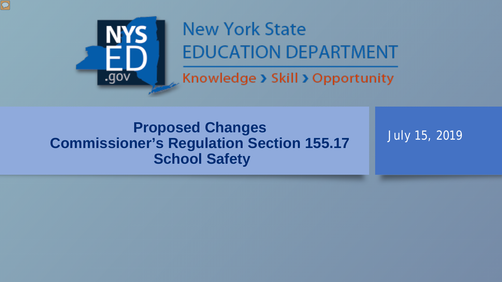

 $\boxed{\bigcirc}$ 

## **New York State EDUCATION DEPARTMENT**

Knowledge > Skill > Opportunity

### **Proposed Changes Commissioner's Regulation Section 155.17 School Safety**

July 15, 2019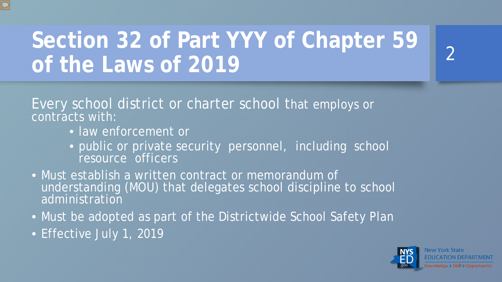## **Section 32 of Part YYY of Chapter 59 of the Laws of 2019**

Every school district or charter school that employs or contracts with:

- law enforcement or
- public or private security personnel, including school resource officers
- Must establish a written contract or memorandum of understanding (MOU) that delegates school discipline to school administration
- Must be adopted as part of the Districtwide School Safety Plan
- Effective July 1, 2019



 $\mathcal{P}$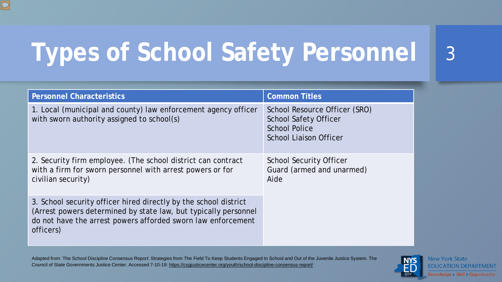# **Types of School Safety Personnel** 3

| <b>Personnel Characteristics</b>                                                                                                                                                                                 | <b>Common Titles</b>                                                                                                   |
|------------------------------------------------------------------------------------------------------------------------------------------------------------------------------------------------------------------|------------------------------------------------------------------------------------------------------------------------|
| 1. Local (municipal and county) law enforcement agency officer<br>with sworn authority assigned to school(s)                                                                                                     | School Resource Officer (SRO)<br><b>School Safety Officer</b><br><b>School Police</b><br><b>School Liaison Officer</b> |
| 2. Security firm employee. (The school district can contract<br>with a firm for sworn personnel with arrest powers or for<br>civilian security)                                                                  | <b>School Security Officer</b><br>Guard (armed and unarmed)<br>Aide                                                    |
| 3. School security officer hired directly by the school district<br>(Arrest powers determined by state law, but typically personnel<br>do not have the arrest powers afforded sworn law enforcement<br>officers) |                                                                                                                        |

Adapted from: The School Discipline Consensus Report: Strategies from The Field To Keep Students Engaged In School and Out of the Juvenile Justice System. The Council of State Governments Justice Center. Accessed 7-10-19:<https://csgjusticecenter.org/youth/school-discipline-consensus-report/>

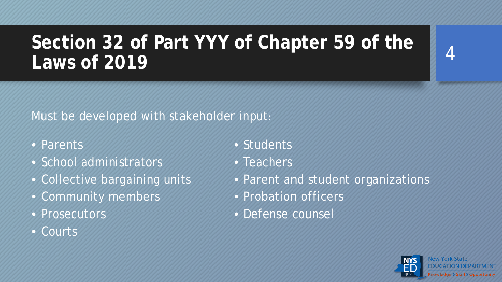## **Section 32 of Part YYY of Chapter 59 of the Laws of 2019**

#### Must be developed with stakeholder input:

- Parents
- School administrators
- Collective bargaining units
- Community members
- Prosecutors
- Courts
- Students
- Teachers
- Parent and student organizations
- Probation officers
- Defense counsel